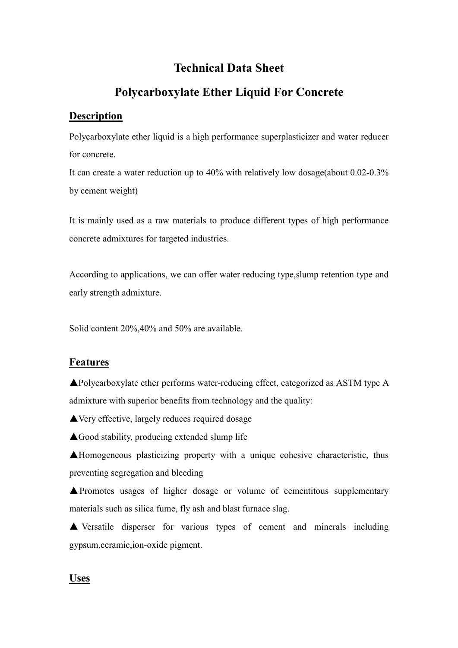# **Technical Data Sheet**

# **Polycarboxylate Ether Liquid For Concrete**

### **Description**

Polycarboxylate ether liquid is a high performance superplasticizer and water reducer for concrete.

It can create a water reduction up to 40% with relatively low dosage(about 0.02-0.3% by cement weight)

It is mainly used as a raw materials to produce different types of high performance concrete admixtures for targeted industries.

According to applications, we can offer water reducing type,slump retention type and early strength admixture.

Solid content 20%,40% and 50% are available.

### **Features**

▲Polycarboxylate ether performs water-reducing effect, categorized as ASTM type A admixture with superior benefits from technology and the quality:

**▲Very effective, largely reduces required dosage** 

 $\triangle$ Good stability, producing extended slump life

▲Homogeneous plasticizing property with a unique cohesive characteristic, thus preventing segregation and bleeding

▲Promotes usages of higher dosage or volume of cementitous supplementary materials such as silica fume, fly ash and blast furnace slag.

▲ Versatile disperser for various types of cement and minerals including gypsum,ceramic,ion-oxide pigment.

# **Uses**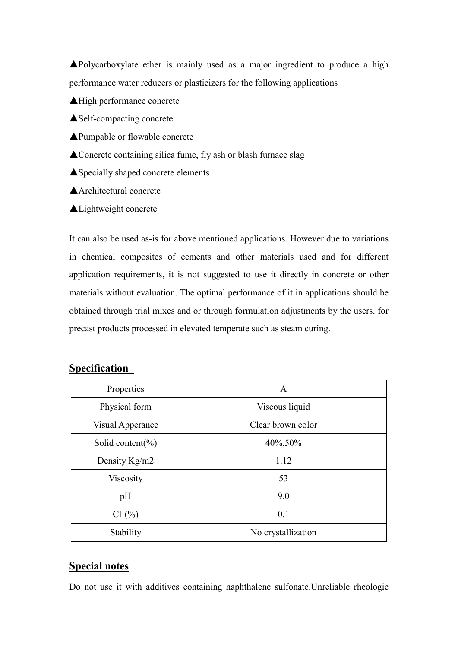▲Polycarboxylate ether is mainly used as a major ingredient to produce a high performance water reducers or plasticizers for the following applications

▲High performance concrete

▲Self-compacting concrete

- ▲Pumpable or flowable concrete
- ▲Concrete containing silica fume, fly ash or blash furnace slag
- ▲Specially shaped concrete elements
- ▲Architectural concrete
- ▲Lightweight concrete

It can also be used as-is for above mentioned applications. However due to variations in chemical composites of cements and other materials used and for different application requirements, it is not suggested to use it directly in concrete or other materials without evaluation. The optimal performance of it in applications should be obtained through trial mixes and or through formulation adjustments by the users. for precast products processed in elevated temperate such as steam curing.

### **Specification**

| Properties            | A                  |
|-----------------------|--------------------|
| Physical form         | Viscous liquid     |
| Visual Apperance      | Clear brown color  |
| Solid content( $\%$ ) | 40\%,50\%          |
| Density Kg/m2         | 1.12               |
| <b>Viscosity</b>      | 53                 |
| pH                    | 9.0                |
| $Cl-(\%)$             | 0.1                |
| Stability             | No crystallization |

#### **Special notes**

Do not use it with additives containing naphthalene sulfonate.Unreliable rheologic